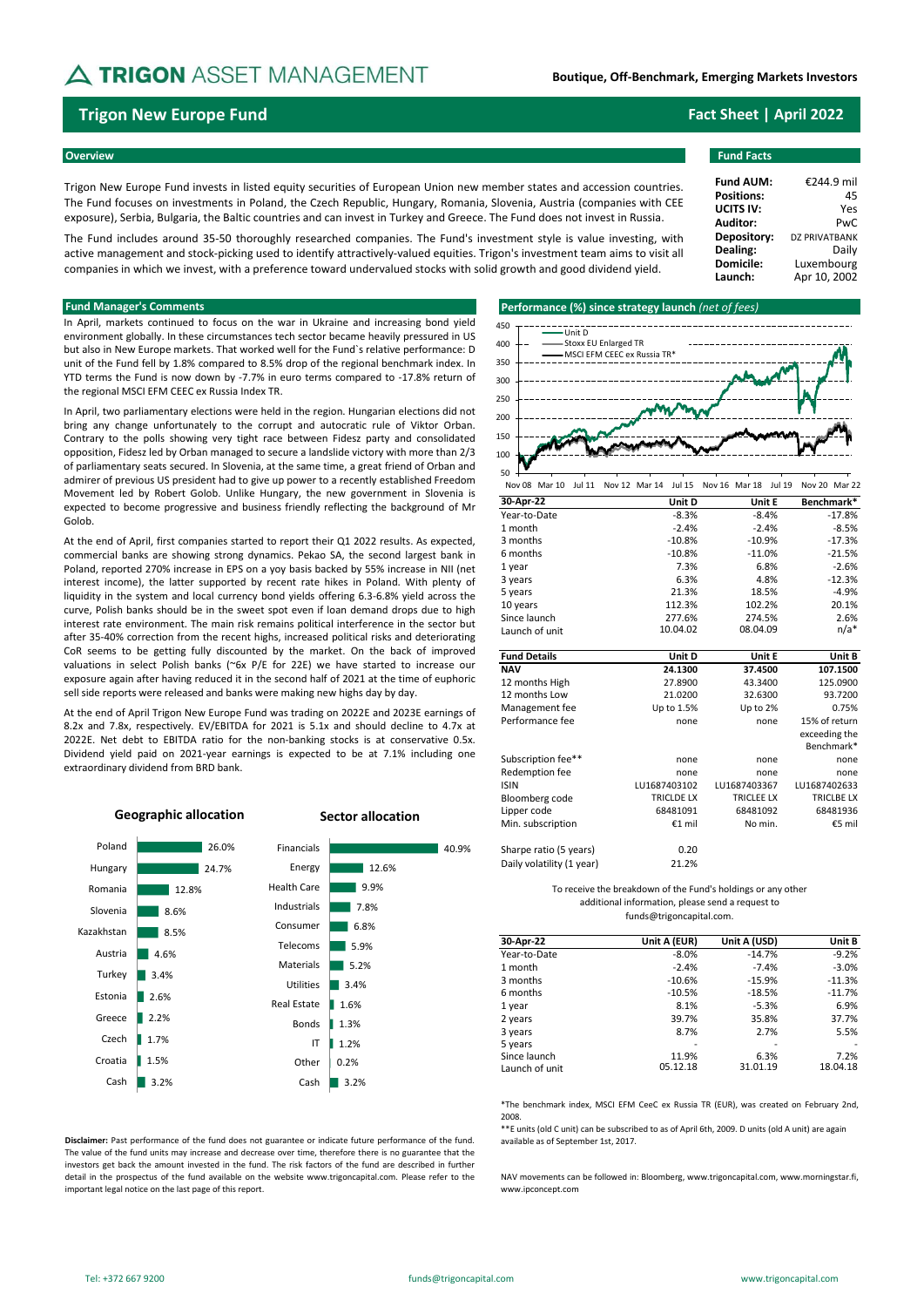# **A TRIGON** ASSET MANAGEMENT

## **Trigon New Europe Fund Fact Sheet | April 2022**

### **Overview Fund Facts**

Trigon New Europe Fund invests in listed equity securities of European Union new member states and accession countries. The Fund focuses on investments in Poland, the Czech Republic, Hungary, Romania, Slovenia, Austria (companies with CEE exposure), Serbia, Bulgaria, the Baltic countries and can invest in Turkey and Greece. The Fund does not invest in Russia.

The Fund includes around 35-50 thoroughly researched companies. The Fund's investment style is value investing, with active management and stock-picking used to identify attractively-valued equities. Trigon's investment team aims to visit all companies in which we invest, with a preference toward undervalued stocks with solid growth and good dividend yield.

In April, markets continued to focus on the war in Ukraine and increasing bond yield environment globally. In these circumstances tech sector became heavily pressured in US but also in New Europe markets. That worked well for the Fund`s relative performance: D unit of the Fund fell by 1.8% compared to 8.5% drop of the regional benchmark index. In YTD terms the Fund is now down by -7.7% in euro terms compared to -17.8% return of the regional MSCI EFM CEEC ex Russia Index TR.

In April, two parliamentary elections were held in the region. Hungarian elections did not bring any change unfortunately to the corrupt and autocratic rule of Viktor Orban. Contrary to the polls showing very tight race between Fidesz party and consolidated opposition, Fidesz led by Orban managed to secure a landslide victory with more than 2/3 of parliamentary seats secured. In Slovenia, at the same time, a great friend of Orban and admirer of previous US president had to give up power to a recently established Freedom Movement led by Robert Golob. Unlike Hungary, the new government in Slovenia is expected to become progressive and business friendly reflecting the background of Mr Golob.

At the end of April, first companies started to report their Q1 2022 results. As expected, commercial banks are showing strong dynamics. Pekao SA, the second largest bank in Poland, reported 270% increase in EPS on a yoy basis backed by 55% increase in NII (net interest income), the latter supported by recent rate hikes in Poland. With plenty of liquidity in the system and local currency bond yields offering 6.3-6.8% yield across the curve, Polish banks should be in the sweet spot even if loan demand drops due to high interest rate environment. The main risk remains political interference in the sector but after 35-40% correction from the recent highs, increased political risks and deteriorating CoR seems to be getting fully discounted by the market. On the back of improved valuations in select Polish banks (~6x P/E for 22E) we have started to increase our exposure again after having reduced it in the second half of 2021 at the time of euphoric sell side reports were released and banks were making new highs day by day.

At the end of April Trigon New Europe Fund was trading on 2022E and 2023E earnings of 8.2x and 7.8x, respectively. EV/EBITDA for 2021 is 5.1x and should decline to 4.7x at 2022E. Net debt to EBITDA ratio for the non-banking stocks is at conservative 0.5x. Dividend yield paid on 2021-year earnings is expected to be at 7.1% including one extraordinary dividend from BRD bank.



**Disclaimer:** Past performance of the fund does not guarantee or indicate future performance of the fund. The value of the fund units may increase and decrease over time, therefore there is no guarantee that the investors get back the amount invested in the fund. The risk factors of the fund are described in further detail in the prospectus of the fund available on the website www.trigoncapital.com. Please refer to the important legal notice on the last page of this report.

### **Fund Manager's Comments Performance (%) since strategy launch** *(net of fees)*



| Nov 08 Mar 10  | <b>Jul 11</b> |      | Nov 12 Mar 14 Jul 15 |          | Nov 16 Mar 18 | Jul 19 |         | Nov 20 Mar 22 |
|----------------|---------------|------|----------------------|----------|---------------|--------|---------|---------------|
| 30-Apr-22      |               |      |                      | Unit D   | Unit E        |        |         | Benchmark*    |
| Year-to-Date   |               |      |                      | $-8.3%$  | $-8.4%$       |        |         | $-17.8%$      |
| 1 month        |               |      |                      | $-2.4%$  | $-2.4%$       |        | $-8.5%$ |               |
| 3 months       |               |      |                      | $-10.8%$ | $-10.9%$      |        |         | $-17.3%$      |
| 6 months       |               |      |                      | $-10.8%$ | $-11.0%$      |        |         | $-21.5%$      |
| 1 year         |               |      |                      | 7.3%     |               | 6.8%   |         | $-2.6%$       |
| 3 years        |               | 6.3% |                      |          |               | 4.8%   |         | $-12.3%$      |
| 5 years        |               |      |                      | 21.3%    | 18.5%         |        |         | $-4.9%$       |
| 10 years       |               |      |                      | 112.3%   | 102.2%        |        |         | 20.1%         |
| Since launch   |               |      |                      | 277.6%   | 274.5%        |        |         | 2.6%          |
| Launch of unit |               |      |                      | 10.04.02 | 08.04.09      |        |         | $n/a*$        |

| <b>Fund Details</b>       | Unit D            | Unit E       | Unit B            |
|---------------------------|-------------------|--------------|-------------------|
| <b>NAV</b>                | 24.1300           | 37.4500      | 107.1500          |
| 12 months High            | 27.8900           | 43.3400      | 125.0900          |
| 12 months Low             | 21.0200           | 32.6300      | 93.7200           |
| Management fee            | Up to 1.5%        | Up to 2%     | 0.75%             |
| Performance fee           | none              | none         | 15% of return     |
|                           |                   |              | exceeding the     |
|                           |                   |              | Benchmark*        |
| Subscription fee**        | none              | none         | none              |
| Redemption fee            | none              | none         | none              |
| <b>ISIN</b>               | LU1687403102      | LU1687403367 | LU1687402633      |
| Bloomberg code            | <b>TRICLDE LX</b> | TRICLEE LX   | <b>TRICLBE LX</b> |
| Lipper code               | 68481091          | 68481092     | 68481936          |
| Min. subscription         | €1 mil            | No min.      | €5 mil            |
| Sharpe ratio (5 years)    | 0.20              |              |                   |
| Daily volatility (1 year) | 21.2%             |              |                   |

### To receive the breakdown of the Fund's holdings or any other additional information, please send a request to funds@trigoncapital.com.

| 30-Apr-22      |              |              |          |
|----------------|--------------|--------------|----------|
|                | Unit A (EUR) | Unit A (USD) | Unit B   |
| Year-to-Date   | $-8.0%$      | $-14.7%$     | $-9.2%$  |
| 1 month        | $-2.4%$      | $-7.4%$      | $-3.0%$  |
| 3 months       | $-10.6%$     | $-15.9%$     | $-11.3%$ |
| 6 months       | $-10.5%$     | $-18.5%$     | $-11.7%$ |
| 1 year         | 8.1%         | $-5.3%$      | 6.9%     |
| 2 years        | 39.7%        | 35.8%        | 37.7%    |
| 3 years        | 8.7%         | 2.7%         | 5.5%     |
| 5 years        |              |              |          |
| Since launch   | 11.9%        | 6.3%         | 7.2%     |
| Launch of unit | 05.12.18     | 31.01.19     | 18.04.18 |

\*The benchmark index, MSCI EFM CeeC ex Russia TR (EUR), was created on February 2nd, 2008.

\*\*E units (old C unit) can be subscribed to as of April 6th, 2009. D units (old A unit) are again available as of September 1st, 2017.

NAV movements can be followed in: Bloomberg, www.trigoncapital.com, www.morningstar.fi, www.ipconcept.com

| <b>Fund AUM:</b>  | €244.9 mil           |
|-------------------|----------------------|
| <b>Positions:</b> | 45                   |
| UCITS IV:         | Yes                  |
| <b>Auditor:</b>   | Pw <sub>C</sub>      |
| Depository:       | <b>DZ PRIVATBANK</b> |
| Dealing:          | Daily                |
| Domicile:         | Luxembourg           |
| Launch:           | Apr 10, 2002         |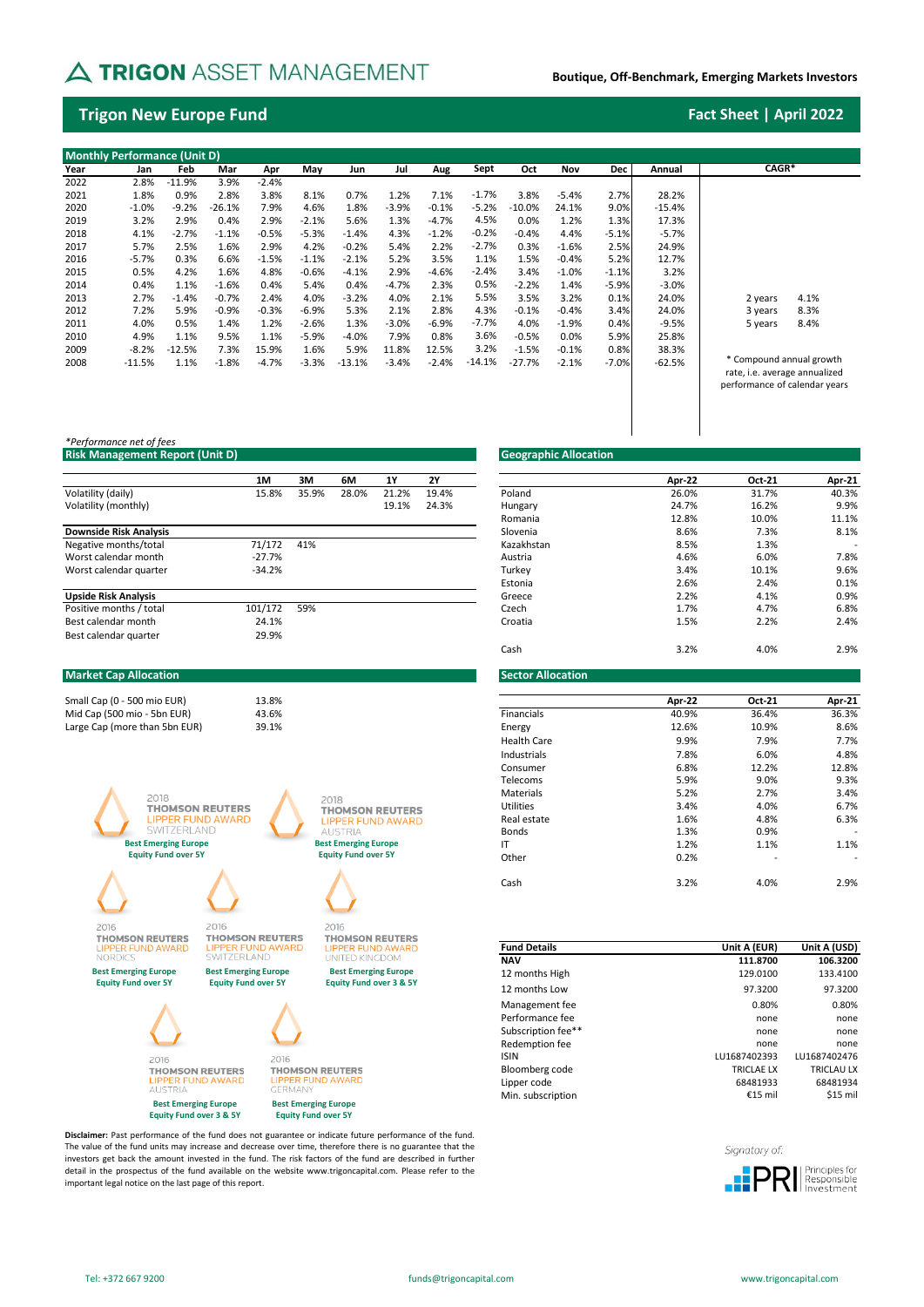# A TRIGON ASSET MANAGEMENT

## **Boutique, Off-Benchmark, Emerging Markets Investors**

## **Trigon New Europe Fund Fact Sheet | April 2022**

|      | <b>Monthly Performance (Unit D)</b> |          |         |         |         |          |         |         |          |          |         |            |          |                                                           |      |
|------|-------------------------------------|----------|---------|---------|---------|----------|---------|---------|----------|----------|---------|------------|----------|-----------------------------------------------------------|------|
| Year | Jan                                 | Feb      | Mar     | Apr     | May     | Jun      | Jul     | Aug     | Sept     | Oct      | Nov     | <b>Dec</b> | Annual   | CAGR*                                                     |      |
| 2022 | 2.8%                                | $-11.9%$ | 3.9%    | $-2.4%$ |         |          |         |         |          |          |         |            |          |                                                           |      |
| 2021 | 1.8%                                | 0.9%     | 2.8%    | 3.8%    | 8.1%    | 0.7%     | 1.2%    | 7.1%    | $-1.7%$  | 3.8%     | $-5.4%$ | 2.7%       | 28.2%    |                                                           |      |
| 2020 | $-1.0%$                             | $-9.2%$  | -26.1%  | 7.9%    | 4.6%    | 1.8%     | $-3.9%$ | $-0.1%$ | $-5.2%$  | $-10.0%$ | 24.1%   | 9.0%       | $-15.4%$ |                                                           |      |
| 2019 | 3.2%                                | 2.9%     | 0.4%    | 2.9%    | $-2.1%$ | 5.6%     | 1.3%    | $-4.7%$ | 4.5%     | 0.0%     | 1.2%    | 1.3%       | 17.3%    |                                                           |      |
| 2018 | 4.1%                                | $-2.7%$  | $-1.1%$ | $-0.5%$ | $-5.3%$ | $-1.4%$  | 4.3%    | $-1.2%$ | $-0.2%$  | $-0.4%$  | 4.4%    | $-5.1%$    | $-5.7%$  |                                                           |      |
| 2017 | 5.7%                                | 2.5%     | 1.6%    | 2.9%    | 4.2%    | $-0.2%$  | 5.4%    | 2.2%    | $-2.7%$  | 0.3%     | $-1.6%$ | 2.5%       | 24.9%    |                                                           |      |
| 2016 | $-5.7%$                             | 0.3%     | 6.6%    | $-1.5%$ | $-1.1%$ | $-2.1%$  | 5.2%    | 3.5%    | 1.1%     | 1.5%     | $-0.4%$ | 5.2%       | 12.7%    |                                                           |      |
| 2015 | 0.5%                                | 4.2%     | 1.6%    | 4.8%    | $-0.6%$ | $-4.1%$  | 2.9%    | $-4.6%$ | $-2.4%$  | 3.4%     | $-1.0%$ | $-1.1%$    | 3.2%     |                                                           |      |
| 2014 | 0.4%                                | 1.1%     | $-1.6%$ | 0.4%    | 5.4%    | 0.4%     | $-4.7%$ | 2.3%    | 0.5%     | $-2.2%$  | 1.4%    | -5.9%      | $-3.0%$  |                                                           |      |
| 2013 | 2.7%                                | $-1.4%$  | $-0.7%$ | 2.4%    | 4.0%    | $-3.2%$  | 4.0%    | 2.1%    | 5.5%     | 3.5%     | 3.2%    | 0.1%       | 24.0%    | 2 years                                                   | 4.1% |
| 2012 | 7.2%                                | 5.9%     | $-0.9%$ | $-0.3%$ | $-6.9%$ | 5.3%     | 2.1%    | 2.8%    | 4.3%     | $-0.1%$  | $-0.4%$ | 3.4%       | 24.0%    | 3 years                                                   | 8.3% |
| 2011 | 4.0%                                | 0.5%     | 1.4%    | 1.2%    | $-2.6%$ | 1.3%     | $-3.0%$ | $-6.9%$ | $-7.7%$  | 4.0%     | $-1.9%$ | 0.4%       | $-9.5%$  | 5 years                                                   | 8.4% |
| 2010 | 4.9%                                | 1.1%     | 9.5%    | 1.1%    | $-5.9%$ | $-4.0%$  | 7.9%    | 0.8%    | 3.6%     | $-0.5%$  | 0.0%    | 5.9%       | 25.8%    |                                                           |      |
| 2009 | $-8.2%$                             | $-12.5%$ | 7.3%    | 15.9%   | 1.6%    | 5.9%     | 11.8%   | 12.5%   | 3.2%     | $-1.5%$  | $-0.1%$ | 0.8%       | 38.3%    |                                                           |      |
| 2008 | $-11.5%$                            | 1.1%     | $-1.8%$ | $-4.7%$ | $-3.3%$ | $-13.1%$ | $-3.4%$ | $-2.4%$ | $-14.1%$ | $-27.7%$ | $-2.1%$ | $-7.0%$    | $-62.5%$ | * Compound annual growth<br>rate, i.e. average annualized |      |
|      |                                     |          |         |         |         |          |         |         |          |          |         |            |          | performance of calendar vears                             |      |

## *\*Performance net of fees* **Risk Management Report (Unit D) Geographic Allocation**

|                               | 1M       | ЗΜ    | 6M    | 1Y    | 2Y    |            | Apr-22 | Oct-21 | Apr-21 |
|-------------------------------|----------|-------|-------|-------|-------|------------|--------|--------|--------|
| Volatility (daily)            | 15.8%    | 35.9% | 28.0% | 21.2% | 19.4% | Poland     | 26.0%  | 31.7%  | 40.3%  |
| Volatility (monthly)          |          |       |       | 19.1% | 24.3% | Hungary    | 24.7%  | 16.2%  | 9.9%   |
|                               |          |       |       |       |       | Romania    | 12.8%  | 10.0%  | 11.1%  |
| <b>Downside Risk Analysis</b> |          |       |       |       |       | Slovenia   | 8.6%   | 7.3%   | 8.1%   |
| Negative months/total         | 71/172   | 41%   |       |       |       | Kazakhstan | 8.5%   | 1.3%   |        |
| Worst calendar month          | $-27.7%$ |       |       |       |       | Austria    | 4.6%   | 6.0%   | 7.8%   |
| Worst calendar quarter        | $-34.2%$ |       |       |       |       | Turkev     | 3.4%   | 10.1%  | 9.6%   |
|                               |          |       |       |       |       | Estonia    | 2.6%   | 2.4%   | 0.1%   |
| <b>Upside Risk Analysis</b>   |          |       |       |       |       | Greece     | 2.2%   | 4.1%   | 0.9%   |
| Positive months / total       | 101/172  | 59%   |       |       |       | Czech      | 1.7%   | 4.7%   | 6.8%   |
| Best calendar month           | 24.1%    |       |       |       |       | Croatia    | 1.5%   | 2.2%   | 2.4%   |
| Best calendar quarter         | 29.9%    |       |       |       |       |            |        |        |        |

## Micro Cap (up to 150 mio EUR) Small Cap (150 - 500 mio EUR) **Market Cap Allocation Sector Allocation**



**Best Emerging Europe Equity Fund over 3 & 5Y** **Best Emerging Europe Equity Fund over 3 & 5Y**

UND AW **LIPPER FU**<br>GERMANY **Best Emerging Europe Equity Fund over 5Y**

**Disclaimer:** Past performance of the fund does not guarantee or indicate future performance of the fund. The value of the fund units may increase and decrease over time, therefore there is no guarantee that the investors get back the amount invested in the fund. The risk factors of the fund are described in further detail in the prospectus of the fund available on the website www.trigoncapital.com. Please refer to the important legal notice on the last page of this report.

|       |       |       |       |           | Geographic Allocation |        |        |        |
|-------|-------|-------|-------|-----------|-----------------------|--------|--------|--------|
| 1M    | 3M    | 6M    | 1Y    | <b>2Y</b> |                       | Apr-22 | Oct-21 | Apr-21 |
| 15.8% | 35.9% | 28.0% | 21.2% | 19.4%     | Poland                | 26.0%  | 31.7%  | 40.3%  |
|       |       |       | 19.1% | 24.3%     | Hungary               | 24.7%  | 16.2%  | 9.9%   |
|       |       |       |       |           | Romania               | 12.8%  | 10.0%  | 11.1%  |
|       |       |       |       |           | Slovenia              | 8.6%   | 7.3%   | 8.1%   |
| 1/172 | 41%   |       |       |           | Kazakhstan            | 8.5%   | 1.3%   |        |
| 27.7% |       |       |       |           | Austria               | 4.6%   | 6.0%   | 7.8%   |
| 34.2% |       |       |       |           | Turkey                | 3.4%   | 10.1%  | 9.6%   |
|       |       |       |       |           | Estonia               | 2.6%   | 2.4%   | 0.1%   |
|       |       |       |       |           | Greece                | 2.2%   | 4.1%   | 0.9%   |
| 1/172 | 59%   |       |       |           | Czech                 | 1.7%   | 4.7%   | 6.8%   |
| 24.1% |       |       |       |           | Croatia               | 1.5%   | 2.2%   | 2.4%   |
| 29.9% |       |       |       |           |                       |        |        |        |
|       |       |       |       |           | Cash                  | 3.2%   | 4.0%   | 2.9%   |

| Small Cap (0 - 500 mio EUR) |                               | 13.8% |                             |                    | Apr-22 | <b>Oct-21</b>            | Apr-21                   |
|-----------------------------|-------------------------------|-------|-----------------------------|--------------------|--------|--------------------------|--------------------------|
| Mid Cap (500 mio - 5bn EUR) |                               | 43.6% |                             | Financials         | 40.9%  | 36.4%                    | 36.3%                    |
|                             | Large Cap (more than 5bn EUR) | 39.1% |                             | Energy             | 12.6%  | 10.9%                    | 8.6%                     |
|                             |                               |       |                             | <b>Health Care</b> | 9.9%   | 7.9%                     | 7.7%                     |
|                             |                               |       |                             | Industrials        | 7.8%   | 6.0%                     | 4.8%                     |
|                             |                               |       |                             | Consumer           | 6.8%   | 12.2%                    | 12.8%                    |
|                             |                               |       |                             | Telecoms           | 5.9%   | 9.0%                     | 9.3%                     |
|                             | 2018                          |       | 2018                        | Materials          | 5.2%   | 2.7%                     | 3.4%                     |
|                             | <b>THOMSON REUTERS</b>        |       | <b>THOMSON REUTERS</b>      | Utilities          | 3.4%   | 4.0%                     | 6.7%                     |
|                             | <b>LIPPER FUND AWARD</b>      |       | <b>IPPER FUND AWARD</b>     | Real estate        | 1.6%   | 4.8%                     | 6.3%                     |
|                             | <b>SWITZERLAND</b>            |       | <b>AUSTRIA</b>              | <b>Bonds</b>       | 1.3%   | 0.9%                     | $\overline{\phantom{0}}$ |
|                             | <b>Best Emerging Europe</b>   |       | <b>Best Emerging Europe</b> | IT                 | 1.2%   | 1.1%                     | 1.1%                     |
|                             | <b>Equity Fund over 5Y</b>    |       | <b>Equity Fund over 5Y</b>  | Other              | 0.2%   | $\overline{\phantom{0}}$ |                          |
|                             |                               |       |                             |                    |        |                          |                          |
|                             |                               |       |                             | Cash               | 3.2%   | 4.0%                     | 2.9%                     |

| <b>Fund Details</b> | Unit A (EUR)      | Unit A (USD) |
|---------------------|-------------------|--------------|
| <b>NAV</b>          | 111.8700          | 106.3200     |
| 12 months High      | 129.0100          | 133.4100     |
| 12 months Low       | 97.3200           | 97.3200      |
| Management fee      | 0.80%             | 0.80%        |
| Performance fee     | none              | none         |
| Subscription fee**  | none              | none         |
| Redemption fee      | none              | none         |
| <b>ISIN</b>         | LU1687402393      | LU1687402476 |
| Bloomberg code      | <b>TRICLAE LX</b> | TRICLAU LX   |
| Lipper code         | 68481933          | 68481934     |
| Min. subscription   | €15 $min$         | \$15 mil     |

Signatory of: